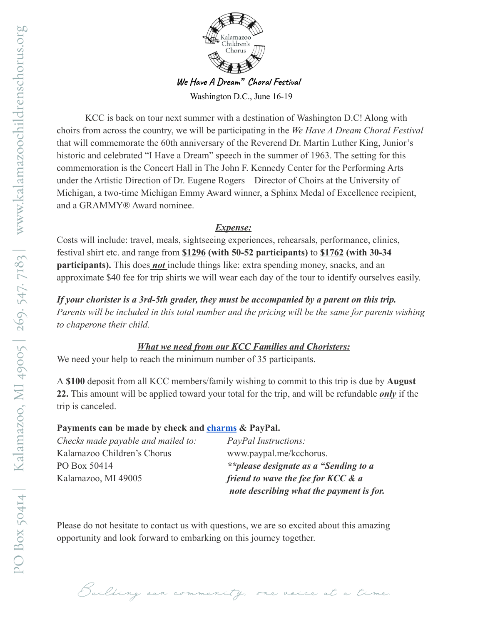

**We Have A Dream" Choral Festival**

Washington D.C., June 16-19

KCC is back on tour next summer with a destination of Washington D.C! Along with choirs from across the country, we will be participating in the *We Have A Dream Choral Festival* that will commemorate the 60th anniversary of the Reverend Dr. Martin Luther King, Junior's historic and celebrated "I Have a Dream" speech in the summer of 1963. The setting for this commemoration is the Concert Hall in The John F. Kennedy Center for the Performing Arts under the Artistic Direction of Dr. Eugene Rogers – Director of Choirs at the University of Michigan, a two-time Michigan Emmy Award winner, a Sphinx Medal of Excellence recipient, and a GRAMMY® Award nominee.

## *Expense:*

Costs will include: travel, meals, sightseeing experiences, rehearsals, performance, clinics, festival shirt etc. and range from **\$1296 (with 50-52 participants)** to **\$1762 (with 30-34 participants).** This does *not* include things like: extra spending money, snacks, and an approximate \$40 fee for trip shirts we will wear each day of the tour to identify ourselves easily.

*If your chorister is a 3rd-5th grader, they must be accompanied by a parent on this trip. Parents will be included in this total number and the pricing will be the same for parents wishing to chaperone their child.*

## *What we need from our KCC Families and Choristers:*

We need your help to reach the minimum number of 35 participants.

A **\$100** deposit from all KCC members/family wishing to commit to this trip is due by **August 22.** This amount will be applied toward your total for the trip, and will be refundable *only* if the trip is canceled.

## **Payments can be made by check and [charms](http://url9345.charmsmusic.com/ls/click?upn=-2BDmUTwQO-2BV0Mh8uaCgzRqUNbQjZIfNoP-2FFOp8azjm3LtxRvUIo8OJjxmPICbu-2Fsl243uetQ7f-2BimaDfjBInKR-2Fc8o2YKnDjLoKWxf4af7vBBQlQCqYYqkSo03M7iDLwk0tlO_y9bnmvLHkZRucesBWGAMHxkfz3e6kcdtVky5mdlWWFykBmVnOqANT8rjY-2FZHEZEkbkPpXR9T9dRK6YXaaLST-2BiM9QPjl2gLzNWZxM2-2FG8-2BBLvlJABLlltMWy0Hog36WOnZOJ2-2BGE-2BN1HK0uvrsk1xVXX25mS5jhsyZUk3NVGhz-2BxVzgHU1-2BPyIxr0k-2Behf7Gb-2BeaitkhZvCj2LLBWbIw5VyNlK-2FJJUQQ3hjecSlVPFQ-3D) & PayPal.**

| Checks made payable and mailed to:<br>Kalamazoo Children's Chorus | <i>PayPal Instructions:</i><br>www.paypal.me/kcchorus. |
|-------------------------------------------------------------------|--------------------------------------------------------|
| PO Box 50414                                                      | **please designate as a "Sending to a                  |
| Kalamazoo, MI 49005                                               | friend to wave the fee for KCC & a                     |
|                                                                   | note describing what the payment is for.               |

Please do not hesitate to contact us with questions, we are so excited about this amazing opportunity and look forward to embarking on this journey together.